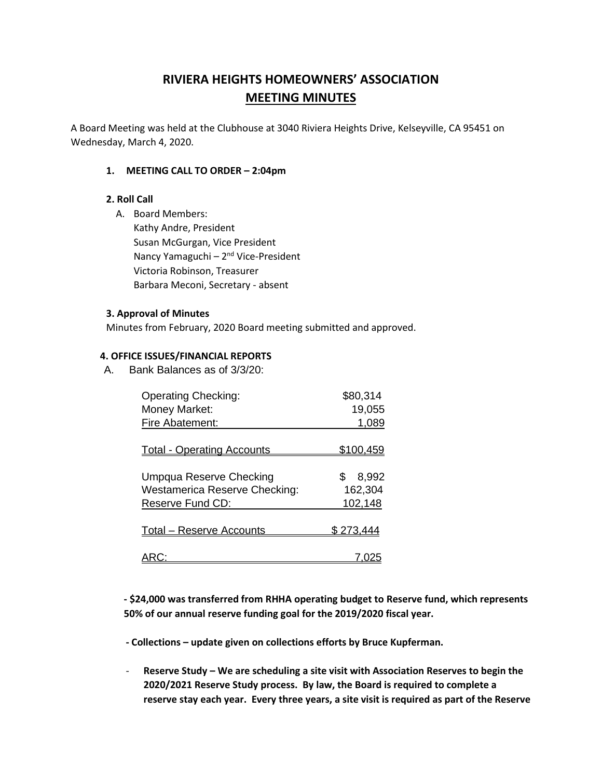# **RIVIERA HEIGHTS HOMEOWNERS' ASSOCIATION MEETING MINUTES**

A Board Meeting was held at the Clubhouse at 3040 Riviera Heights Drive, Kelseyville, CA 95451 on Wednesday, March 4, 2020.

### **1. MEETING CALL TO ORDER – 2:04pm**

### **2. Roll Call**

A. Board Members: Kathy Andre, President Susan McGurgan, Vice President Nancy Yamaguchi - 2<sup>nd</sup> Vice-President Victoria Robinson, Treasurer Barbara Meconi, Secretary - absent

### **3. Approval of Minutes**

Minutes from February, 2020 Board meeting submitted and approved.

### **4. OFFICE ISSUES/FINANCIAL REPORTS**

A. Bank Balances as of 3/3/20:

| <b>Operating Checking:</b>                                      | \$80,314                |
|-----------------------------------------------------------------|-------------------------|
| Money Market:                                                   | 19,055                  |
| Fire Abatement:                                                 | 1,089                   |
| <b>Total - Operating Accounts</b>                               | <u>\$100,459</u>        |
| Umpqua Reserve Checking<br><b>Westamerica Reserve Checking:</b> | 8,992<br>\$.<br>162,304 |
| Reserve Fund CD:                                                | 102,148                 |
| <b>Total – Reserve Accounts</b>                                 | \$273.444               |
|                                                                 |                         |

**- \$24,000 was transferred from RHHA operating budget to Reserve fund, which represents 50% of our annual reserve funding goal for the 2019/2020 fiscal year.**

 **- Collections – update given on collections efforts by Bruce Kupferman.**

- **Reserve Study – We are scheduling a site visit with Association Reserves to begin the 2020/2021 Reserve Study process. By law, the Board is required to complete a reserve stay each year. Every three years, a site visit is required as part of the Reserve**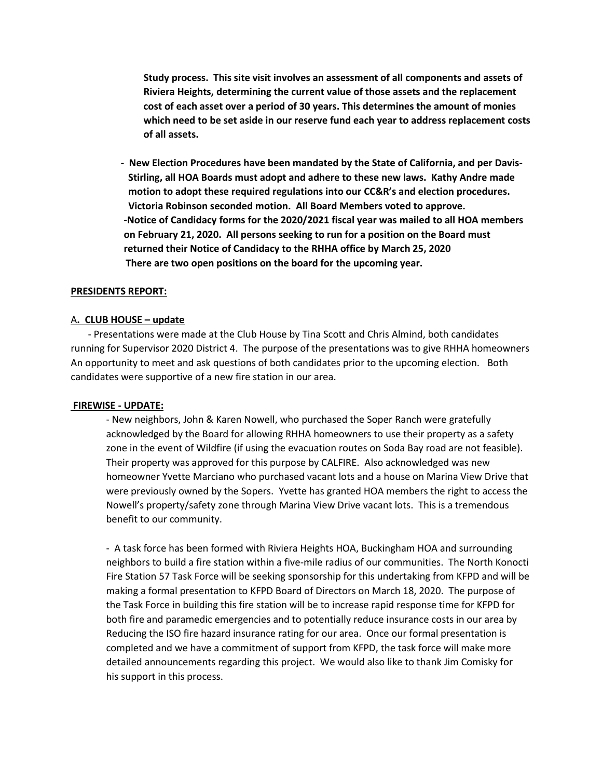**Study process. This site visit involves an assessment of all components and assets of Riviera Heights, determining the current value of those assets and the replacement cost of each asset over a period of 30 years. This determines the amount of monies which need to be set aside in our reserve fund each year to address replacement costs of all assets.** 

 **- New Election Procedures have been mandated by the State of California, and per Davis- Stirling, all HOA Boards must adopt and adhere to these new laws. Kathy Andre made motion to adopt these required regulations into our CC&R's and election procedures. Victoria Robinson seconded motion. All Board Members voted to approve. -Notice of Candidacy forms for the 2020/2021 fiscal year was mailed to all HOA members on February 21, 2020. All persons seeking to run for a position on the Board must returned their Notice of Candidacy to the RHHA office by March 25, 2020 There are two open positions on the board for the upcoming year.** 

### **PRESIDENTS REPORT:**

#### A**. CLUB HOUSE – update**

 - Presentations were made at the Club House by Tina Scott and Chris Almind, both candidates running for Supervisor 2020 District 4. The purpose of the presentations was to give RHHA homeowners An opportunity to meet and ask questions of both candidates prior to the upcoming election. Both candidates were supportive of a new fire station in our area.

#### **FIREWISE - UPDATE:**

- New neighbors, John & Karen Nowell, who purchased the Soper Ranch were gratefully acknowledged by the Board for allowing RHHA homeowners to use their property as a safety zone in the event of Wildfire (if using the evacuation routes on Soda Bay road are not feasible). Their property was approved for this purpose by CALFIRE. Also acknowledged was new homeowner Yvette Marciano who purchased vacant lots and a house on Marina View Drive that were previously owned by the Sopers. Yvette has granted HOA members the right to access the Nowell's property/safety zone through Marina View Drive vacant lots. This is a tremendous benefit to our community.

- A task force has been formed with Riviera Heights HOA, Buckingham HOA and surrounding neighbors to build a fire station within a five-mile radius of our communities. The North Konocti Fire Station 57 Task Force will be seeking sponsorship for this undertaking from KFPD and will be making a formal presentation to KFPD Board of Directors on March 18, 2020. The purpose of the Task Force in building this fire station will be to increase rapid response time for KFPD for both fire and paramedic emergencies and to potentially reduce insurance costs in our area by Reducing the ISO fire hazard insurance rating for our area. Once our formal presentation is completed and we have a commitment of support from KFPD, the task force will make more detailed announcements regarding this project. We would also like to thank Jim Comisky for his support in this process.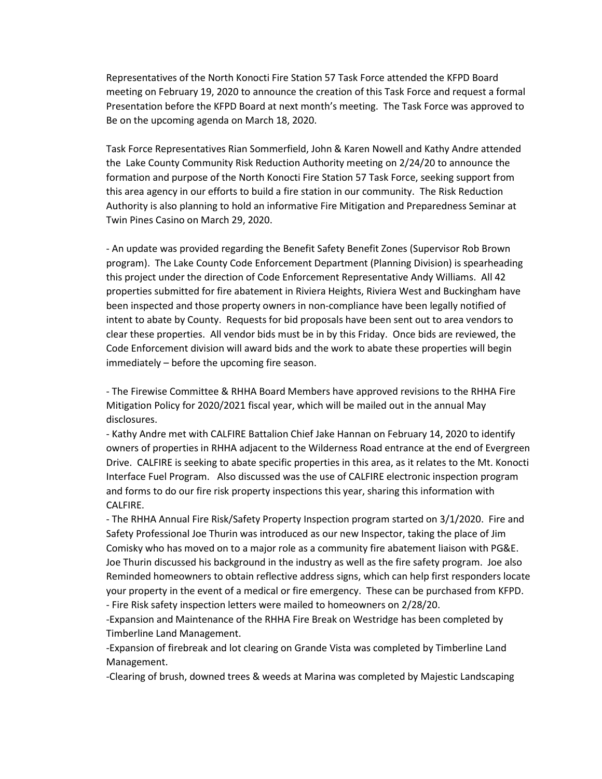Representatives of the North Konocti Fire Station 57 Task Force attended the KFPD Board meeting on February 19, 2020 to announce the creation of this Task Force and request a formal Presentation before the KFPD Board at next month's meeting. The Task Force was approved to Be on the upcoming agenda on March 18, 2020.

Task Force Representatives Rian Sommerfield, John & Karen Nowell and Kathy Andre attended the Lake County Community Risk Reduction Authority meeting on 2/24/20 to announce the formation and purpose of the North Konocti Fire Station 57 Task Force, seeking support from this area agency in our efforts to build a fire station in our community. The Risk Reduction Authority is also planning to hold an informative Fire Mitigation and Preparedness Seminar at Twin Pines Casino on March 29, 2020.

- An update was provided regarding the Benefit Safety Benefit Zones (Supervisor Rob Brown program). The Lake County Code Enforcement Department (Planning Division) is spearheading this project under the direction of Code Enforcement Representative Andy Williams. All 42 properties submitted for fire abatement in Riviera Heights, Riviera West and Buckingham have been inspected and those property owners in non-compliance have been legally notified of intent to abate by County. Requests for bid proposals have been sent out to area vendors to clear these properties. All vendor bids must be in by this Friday. Once bids are reviewed, the Code Enforcement division will award bids and the work to abate these properties will begin immediately – before the upcoming fire season.

- The Firewise Committee & RHHA Board Members have approved revisions to the RHHA Fire Mitigation Policy for 2020/2021 fiscal year, which will be mailed out in the annual May disclosures.

- Kathy Andre met with CALFIRE Battalion Chief Jake Hannan on February 14, 2020 to identify owners of properties in RHHA adjacent to the Wilderness Road entrance at the end of Evergreen Drive. CALFIRE is seeking to abate specific properties in this area, as it relates to the Mt. Konocti Interface Fuel Program. Also discussed was the use of CALFIRE electronic inspection program and forms to do our fire risk property inspections this year, sharing this information with CALFIRE.

- The RHHA Annual Fire Risk/Safety Property Inspection program started on 3/1/2020. Fire and Safety Professional Joe Thurin was introduced as our new Inspector, taking the place of Jim Comisky who has moved on to a major role as a community fire abatement liaison with PG&E. Joe Thurin discussed his background in the industry as well as the fire safety program. Joe also Reminded homeowners to obtain reflective address signs, which can help first responders locate your property in the event of a medical or fire emergency. These can be purchased from KFPD.

- Fire Risk safety inspection letters were mailed to homeowners on 2/28/20.

-Expansion and Maintenance of the RHHA Fire Break on Westridge has been completed by Timberline Land Management.

-Expansion of firebreak and lot clearing on Grande Vista was completed by Timberline Land Management.

-Clearing of brush, downed trees & weeds at Marina was completed by Majestic Landscaping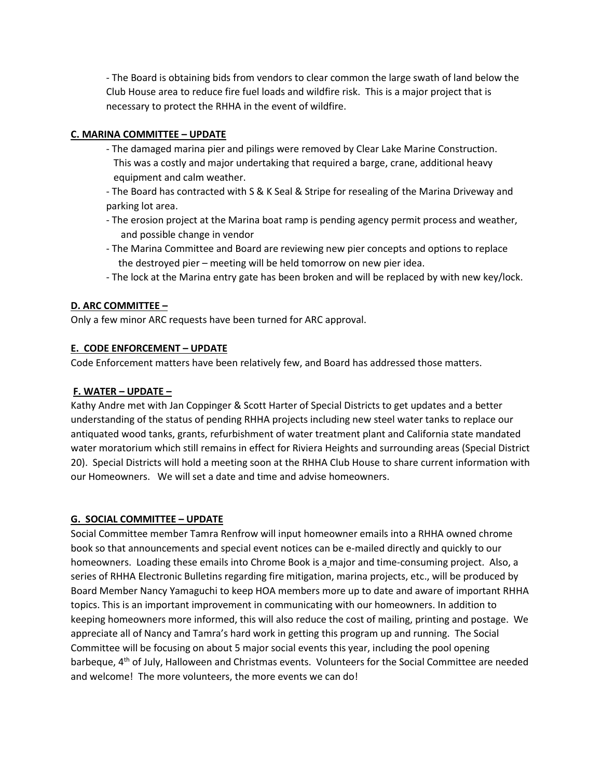- The Board is obtaining bids from vendors to clear common the large swath of land below the Club House area to reduce fire fuel loads and wildfire risk. This is a major project that is necessary to protect the RHHA in the event of wildfire.

# **C. MARINA COMMITTEE – UPDATE**

- The damaged marina pier and pilings were removed by Clear Lake Marine Construction. This was a costly and major undertaking that required a barge, crane, additional heavy equipment and calm weather.
- The Board has contracted with S & K Seal & Stripe for resealing of the Marina Driveway and parking lot area.
- The erosion project at the Marina boat ramp is pending agency permit process and weather, and possible change in vendor
- The Marina Committee and Board are reviewing new pier concepts and options to replace the destroyed pier – meeting will be held tomorrow on new pier idea.
- The lock at the Marina entry gate has been broken and will be replaced by with new key/lock.

## **D. ARC COMMITTEE –**

Only a few minor ARC requests have been turned for ARC approval.

## **E. CODE ENFORCEMENT – UPDATE**

Code Enforcement matters have been relatively few, and Board has addressed those matters.

### **F. WATER – UPDATE –**

Kathy Andre met with Jan Coppinger & Scott Harter of Special Districts to get updates and a better understanding of the status of pending RHHA projects including new steel water tanks to replace our antiquated wood tanks, grants, refurbishment of water treatment plant and California state mandated water moratorium which still remains in effect for Riviera Heights and surrounding areas (Special District 20). Special Districts will hold a meeting soon at the RHHA Club House to share current information with our Homeowners. We will set a date and time and advise homeowners.

### **G. SOCIAL COMMITTEE – UPDATE**

Social Committee member Tamra Renfrow will input homeowner emails into a RHHA owned chrome book so that announcements and special event notices can be e-mailed directly and quickly to our homeowners. Loading these emails into Chrome Book is a major and time-consuming project. Also, a series of RHHA Electronic Bulletins regarding fire mitigation, marina projects, etc., will be produced by Board Member Nancy Yamaguchi to keep HOA members more up to date and aware of important RHHA topics. This is an important improvement in communicating with our homeowners. In addition to keeping homeowners more informed, this will also reduce the cost of mailing, printing and postage. We appreciate all of Nancy and Tamra's hard work in getting this program up and running. The Social Committee will be focusing on about 5 major social events this year, including the pool opening barbeque, 4th of July, Halloween and Christmas events. Volunteers for the Social Committee are needed and welcome! The more volunteers, the more events we can do!